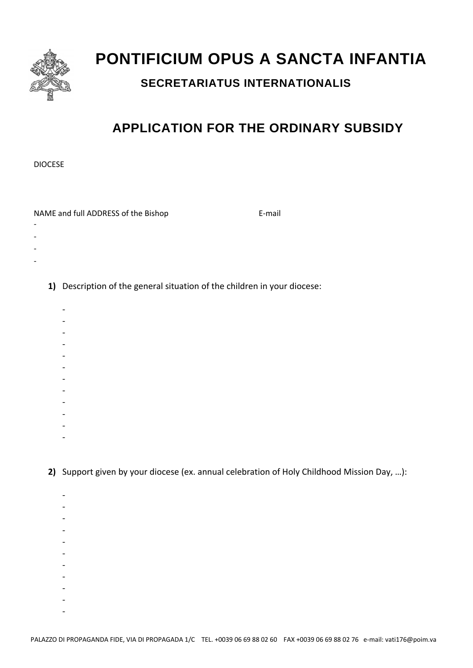

## **PONTIFICIUM OPUS A SANCTA INFANTIA**

## **SECRETARIATUS INTERNATIONALIS**

## **APPLICATION FOR THE ORDINARY SUBSIDY**

DIOCESE

 $\overline{a}$  $\blacksquare$  $\overline{a}$ 

NAME and full ADDRESS of the Bishop E‐mail

- ‐
	- **1)** Description of the general situation of the children in your diocese:
		- $\overline{a}$
		- ‐
		- ‐
		- ‐
		- ‐
		- ‐
		- ‐
		- ‐
		- ‐
		- ‐
		- ‐
		- ‐

**2)** Support given by your diocese (ex. annual celebration of Holy Childhood Mission Day, …):

- ‐
- ‐
- ‐
- ‐
- ‐
- ‐
- ‐
- ‐
- ‐
- $\mathbf{r}$
- ‐